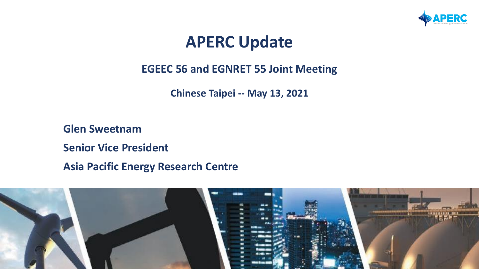

## **APERC Update**

## **EGEEC 56 and EGNRET 55 Joint Meeting**

**Chinese Taipei -- May 13, 2021**

**Glen Sweetnam Senior Vice President Asia Pacific Energy Research Centre**

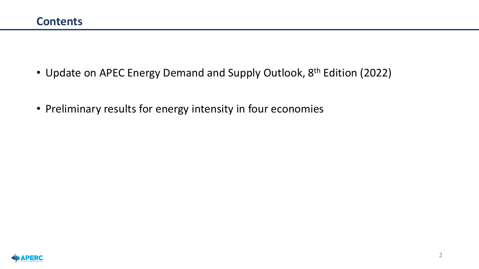- Update on APEC Energy Demand and Supply Outlook, 8<sup>th</sup> Edition (2022)
- Preliminary results for energy intensity in four economies

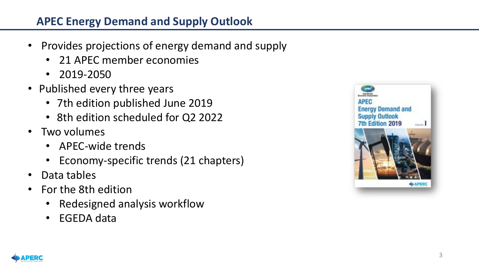## **APEC Energy Demand and Supply Outlook**

- Provides projections of energy demand and supply
	- 21 APEC member economies
	- 2019-2050
- Published every three years
	- 7th edition published June 2019
	- 8th edition scheduled for Q2 2022
- Two volumes
	- APEC-wide trends
	- Economy-specific trends (21 chapters)
- Data tables
- For the 8th edition
	- Redesigned analysis workflow
	- EGEDA data



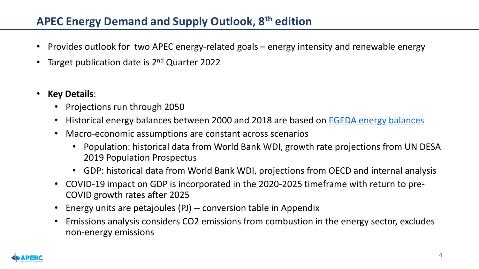## **APEC Energy Demand and Supply Outlook, 8th edition**

- Provides outlook for two APEC energy-related goals energy intensity and renewable energy
- Target publication date is 2<sup>nd</sup> Quarter 2022
- **Key Details**:
	- Projections run through 2050
	- Historical energy balances between 2000 and 2018 are based on **[EGEDA energy balances](https://www.egeda.ewg.apec.org/)**
	- Macro-economic assumptions are constant across scenarios
		- Population: historical data from World Bank WDI, growth rate projections from UN DESA 2019 Population Prospectus
		- GDP: historical data from World Bank WDI, projections from OECD and internal analysis
	- COVID-19 impact on GDP is incorporated in the 2020-2025 timeframe with return to pre-COVID growth rates after 2025
	- Energy units are petajoules (PJ) -- conversion table in Appendix
	- Emissions analysis considers CO2 emissions from combustion in the energy sector, excludes non-energy emissions

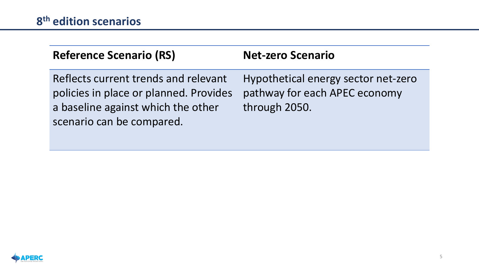| <b>Reference Scenario (RS)</b>                                                                                                                    | <b>Net-zero Scenario</b>                                                              |
|---------------------------------------------------------------------------------------------------------------------------------------------------|---------------------------------------------------------------------------------------|
| Reflects current trends and relevant<br>policies in place or planned. Provides<br>a baseline against which the other<br>scenario can be compared. | Hypothetical energy sector net-zero<br>pathway for each APEC economy<br>through 2050. |

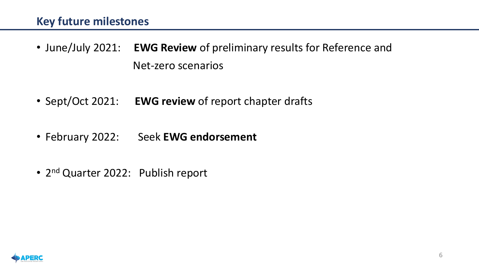- June/July 2021: **EWG Review** of preliminary results for Reference and Net-zero scenarios
- Sept/Oct 2021: **EWG review** of report chapter drafts
- February 2022: Seek **EWG endorsement**
- 2<sup>nd</sup> Quarter 2022: Publish report

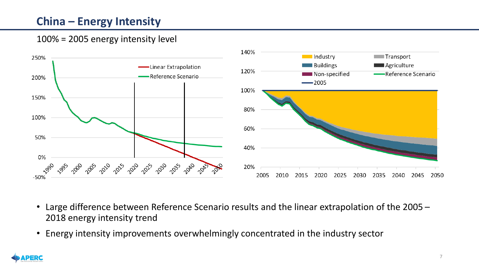## **China – Energy Intensity**



- Large difference between Reference Scenario results and the linear extrapolation of the 2005 2018 energy intensity trend
- Energy intensity improvements overwhelmingly concentrated in the industry sector

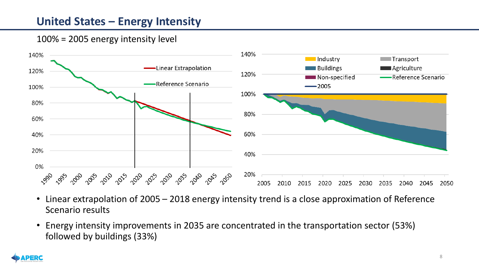## **United States – Energy Intensity**



- Linear extrapolation of 2005 2018 energy intensity trend is a close approximation of Reference Scenario results
- Energy intensity improvements in 2035 are concentrated in the transportation sector (53%) followed by buildings (33%)

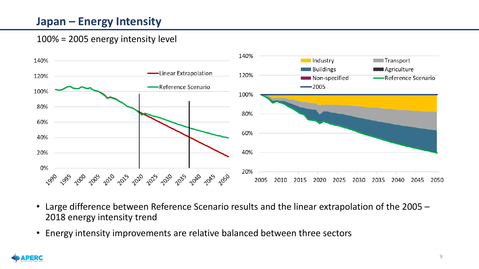### **Japan – Energy Intensity**



- Large difference between Reference Scenario results and the linear extrapolation of the 2005 2018 energy intensity trend
- Energy intensity improvements are relative balanced between three sectors

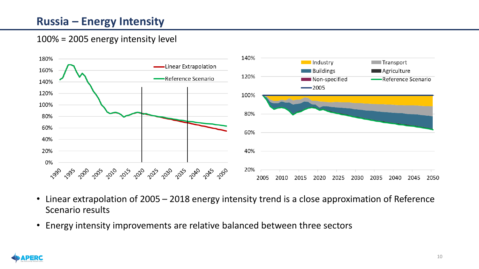## **Russia – Energy Intensity**



- Linear extrapolation of 2005 2018 energy intensity trend is a close approximation of Reference Scenario results
- Energy intensity improvements are relative balanced between three sectors